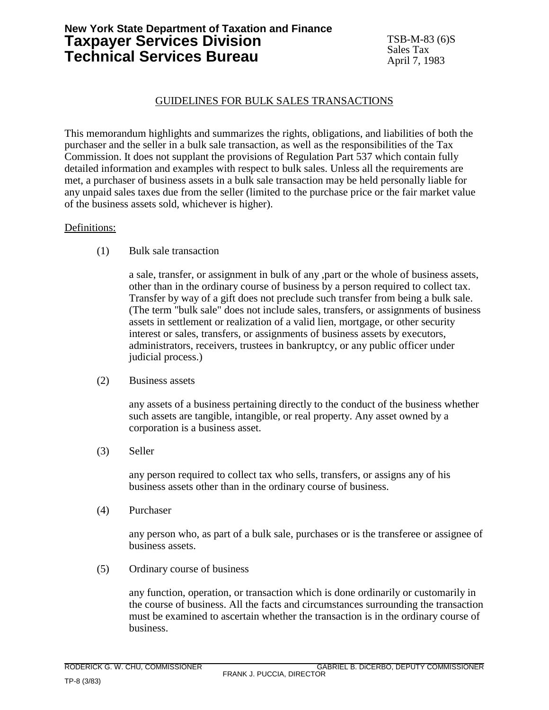# **New York State Department of Taxation and Finance Taxpayer Services Division Technical Services Bureau**

## GUIDELINES FOR BULK SALES TRANSACTIONS

This memorandum highlights and summarizes the rights, obligations, and liabilities of both the purchaser and the seller in a bulk sale transaction, as well as the responsibilities of the Tax Commission. It does not supplant the provisions of Regulation Part 537 which contain fully detailed information and examples with respect to bulk sales. Unless all the requirements are met, a purchaser of business assets in a bulk sale transaction may be held personally liable for any unpaid sales taxes due from the seller (limited to the purchase price or the fair market value of the business assets sold, whichever is higher).

### Definitions:

(1) Bulk sale transaction

a sale, transfer, or assignment in bulk of any ,part or the whole of business assets, other than in the ordinary course of business by a person required to collect tax. Transfer by way of a gift does not preclude such transfer from being a bulk sale. (The term "bulk sale" does not include sales, transfers, or assignments of business assets in settlement or realization of a valid lien, mortgage, or other security interest or sales, transfers, or assignments of business assets by executors, administrators, receivers, trustees in bankruptcy, or any public officer under judicial process.)

(2) Business assets

any assets of a business pertaining directly to the conduct of the business whether such assets are tangible, intangible, or real property. Any asset owned by a corporation is a business asset.

(3) Seller

any person required to collect tax who sells, transfers, or assigns any of his business assets other than in the ordinary course of business.

(4) Purchaser

any person who, as part of a bulk sale, purchases or is the transferee or assignee of business assets.

(5) Ordinary course of business

any function, operation, or transaction which is done ordinarily or customarily in the course of business. All the facts and circumstances surrounding the transaction must be examined to ascertain whether the transaction is in the ordinary course of business.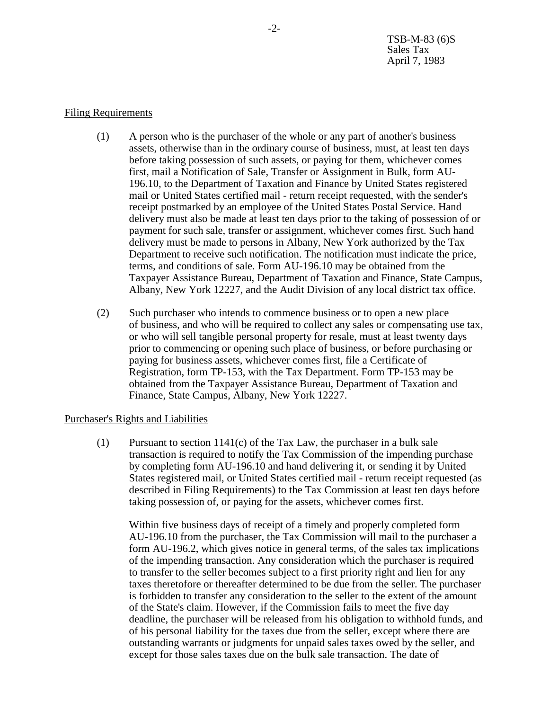#### Filing Requirements

- (1) A person who is the purchaser of the whole or any part of another's business assets, otherwise than in the ordinary course of business, must, at least ten days before taking possession of such assets, or paying for them, whichever comes first, mail a Notification of Sale, Transfer or Assignment in Bulk, form AU-196.10, to the Department of Taxation and Finance by United States registered mail or United States certified mail - return receipt requested, with the sender's receipt postmarked by an employee of the United States Postal Service. Hand delivery must also be made at least ten days prior to the taking of possession of or payment for such sale, transfer or assignment, whichever comes first. Such hand delivery must be made to persons in Albany, New York authorized by the Tax Department to receive such notification. The notification must indicate the price, terms, and conditions of sale. Form AU-196.10 may be obtained from the Taxpayer Assistance Bureau, Department of Taxation and Finance, State Campus, Albany, New York 12227, and the Audit Division of any local district tax office.
- (2) Such purchaser who intends to commence business or to open a new place of business, and who will be required to collect any sales or compensating use tax, or who will sell tangible personal property for resale, must at least twenty days prior to commencing or opening such place of business, or before purchasing or paying for business assets, whichever comes first, file a Certificate of Registration, form TP-153, with the Tax Department. Form TP-153 may be obtained from the Taxpayer Assistance Bureau, Department of Taxation and Finance, State Campus, Albany, New York 12227.

### Purchaser's Rights and Liabilities

(1) Pursuant to section 1141(c) of the Tax Law, the purchaser in a bulk sale transaction is required to notify the Tax Commission of the impending purchase by completing form AU-196.10 and hand delivering it, or sending it by United States registered mail, or United States certified mail - return receipt requested (as described in Filing Requirements) to the Tax Commission at least ten days before taking possession of, or paying for the assets, whichever comes first.

Within five business days of receipt of a timely and properly completed form AU-196.10 from the purchaser, the Tax Commission will mail to the purchaser a form AU-196.2, which gives notice in general terms, of the sales tax implications of the impending transaction. Any consideration which the purchaser is required to transfer to the seller becomes subject to a first priority right and lien for any taxes theretofore or thereafter determined to be due from the seller. The purchaser is forbidden to transfer any consideration to the seller to the extent of the amount of the State's claim. However, if the Commission fails to meet the five day deadline, the purchaser will be released from his obligation to withhold funds, and of his personal liability for the taxes due from the seller, except where there are outstanding warrants or judgments for unpaid sales taxes owed by the seller, and except for those sales taxes due on the bulk sale transaction. The date of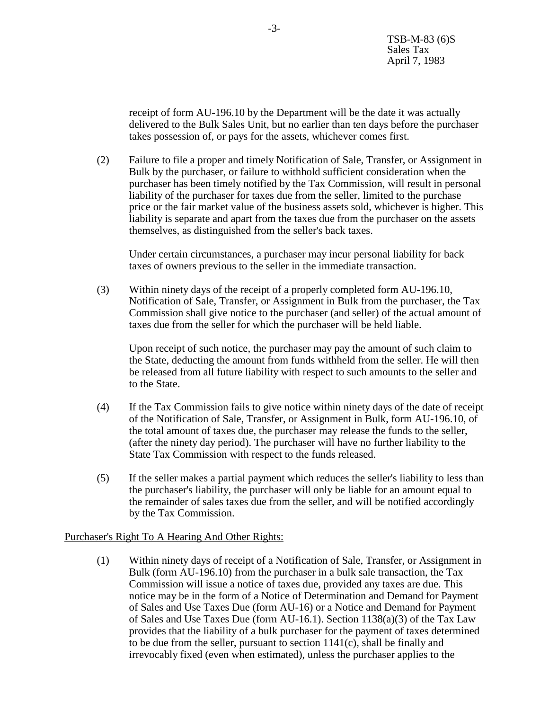receipt of form AU-196.10 by the Department will be the date it was actually delivered to the Bulk Sales Unit, but no earlier than ten days before the purchaser takes possession of, or pays for the assets, whichever comes first.

(2) Failure to file a proper and timely Notification of Sale, Transfer, or Assignment in Bulk by the purchaser, or failure to withhold sufficient consideration when the purchaser has been timely notified by the Tax Commission, will result in personal liability of the purchaser for taxes due from the seller, limited to the purchase price or the fair market value of the business assets sold, whichever is higher. This liability is separate and apart from the taxes due from the purchaser on the assets themselves, as distinguished from the seller's back taxes.

Under certain circumstances, a purchaser may incur personal liability for back taxes of owners previous to the seller in the immediate transaction.

(3) Within ninety days of the receipt of a properly completed form AU-196.10, Notification of Sale, Transfer, or Assignment in Bulk from the purchaser, the Tax Commission shall give notice to the purchaser (and seller) of the actual amount of taxes due from the seller for which the purchaser will be held liable.

Upon receipt of such notice, the purchaser may pay the amount of such claim to the State, deducting the amount from funds withheld from the seller. He will then be released from all future liability with respect to such amounts to the seller and to the State.

- (4) If the Tax Commission fails to give notice within ninety days of the date of receipt of the Notification of Sale, Transfer, or Assignment in Bulk, form AU-196.10, of the total amount of taxes due, the purchaser may release the funds to the seller, (after the ninety day period). The purchaser will have no further liability to the State Tax Commission with respect to the funds released.
- (5) If the seller makes a partial payment which reduces the seller's liability to less than the purchaser's liability, the purchaser will only be liable for an amount equal to the remainder of sales taxes due from the seller, and will be notified accordingly by the Tax Commission.

### Purchaser's Right To A Hearing And Other Rights:

(1) Within ninety days of receipt of a Notification of Sale, Transfer, or Assignment in Bulk (form AU-196.10) from the purchaser in a bulk sale transaction, the Tax Commission will issue a notice of taxes due, provided any taxes are due. This notice may be in the form of a Notice of Determination and Demand for Payment of Sales and Use Taxes Due (form AU-16) or a Notice and Demand for Payment of Sales and Use Taxes Due (form AU-16.1). Section 1138(a)(3) of the Tax Law provides that the liability of a bulk purchaser for the payment of taxes determined to be due from the seller, pursuant to section  $1141(c)$ , shall be finally and irrevocably fixed (even when estimated), unless the purchaser applies to the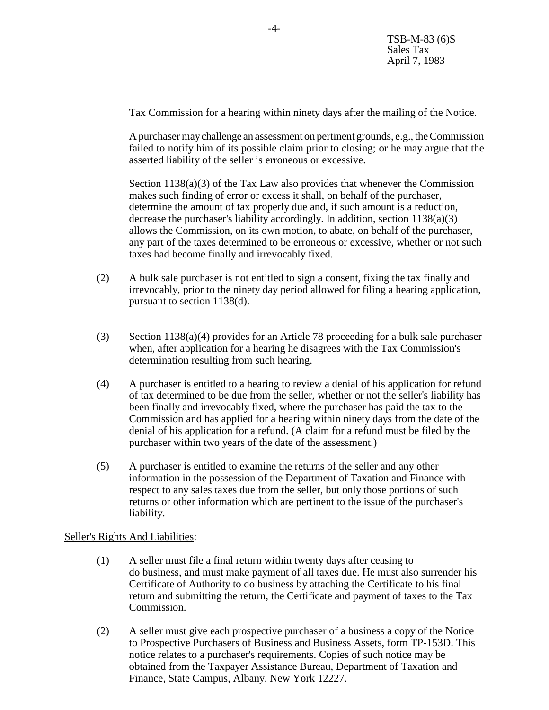Tax Commission for a hearing within ninety days after the mailing of the Notice.

A purchaser may challenge an assessment on pertinent grounds, e.g., the Commission failed to notify him of its possible claim prior to closing; or he may argue that the asserted liability of the seller is erroneous or excessive.

Section  $1138(a)(3)$  of the Tax Law also provides that whenever the Commission makes such finding of error or excess it shall, on behalf of the purchaser, determine the amount of tax properly due and, if such amount is a reduction, decrease the purchaser's liability accordingly. In addition, section 1138(a)(3) allows the Commission, on its own motion, to abate, on behalf of the purchaser, any part of the taxes determined to be erroneous or excessive, whether or not such taxes had become finally and irrevocably fixed.

- (2) A bulk sale purchaser is not entitled to sign a consent, fixing the tax finally and irrevocably, prior to the ninety day period allowed for filing a hearing application, pursuant to section 1138(d).
- (3) Section 1138(a)(4) provides for an Article 78 proceeding for a bulk sale purchaser when, after application for a hearing he disagrees with the Tax Commission's determination resulting from such hearing.
- (4) A purchaser is entitled to a hearing to review a denial of his application for refund of tax determined to be due from the seller, whether or not the seller's liability has been finally and irrevocably fixed, where the purchaser has paid the tax to the Commission and has applied for a hearing within ninety days from the date of the denial of his application for a refund. (A claim for a refund must be filed by the purchaser within two years of the date of the assessment.)
- (5) A purchaser is entitled to examine the returns of the seller and any other information in the possession of the Department of Taxation and Finance with respect to any sales taxes due from the seller, but only those portions of such returns or other information which are pertinent to the issue of the purchaser's liability.

### Seller's Rights And Liabilities:

- (1) A seller must file a final return within twenty days after ceasing to do business, and must make payment of all taxes due. He must also surrender his Certificate of Authority to do business by attaching the Certificate to his final return and submitting the return, the Certificate and payment of taxes to the Tax Commission.
- (2) A seller must give each prospective purchaser of a business a copy of the Notice to Prospective Purchasers of Business and Business Assets, form TP-153D. This notice relates to a purchaser's requirements. Copies of such notice may be obtained from the Taxpayer Assistance Bureau, Department of Taxation and Finance, State Campus, Albany, New York 12227.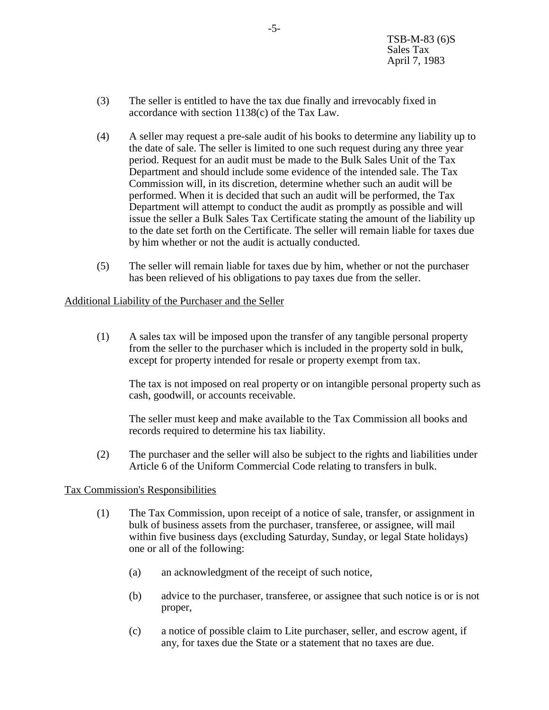- (3) The seller is entitled to have the tax due finally and irrevocably fixed in accordance with section 1138(c) of the Tax Law.
- (4) A seller may request a pre-sale audit of his books to determine any liability up to the date of sale. The seller is limited to one such request during any three year period. Request for an audit must be made to the Bulk Sales Unit of the Tax Department and should include some evidence of the intended sale. The Tax Commission will, in its discretion, determine whether such an audit will be performed. When it is decided that such an audit will be performed, the Tax Department will attempt to conduct the audit as promptly as possible and will issue the seller a Bulk Sales Tax Certificate stating the amount of the liability up to the date set forth on the Certificate. The seller will remain liable for taxes due by him whether or not the audit is actually conducted.
- (5) The seller will remain liable for taxes due by him, whether or not the purchaser has been relieved of his obligations to pay taxes due from the seller.

### Additional Liability of the Purchaser and the Seller

(1) A sales tax will be imposed upon the transfer of any tangible personal property from the seller to the purchaser which is included in the property sold in bulk, except for property intended for resale or property exempt from tax.

The tax is not imposed on real property or on intangible personal property such as cash, goodwill, or accounts receivable.

The seller must keep and make available to the Tax Commission all books and records required to determine his tax liability.

(2) The purchaser and the seller will also be subject to the rights and liabilities under Article 6 of the Uniform Commercial Code relating to transfers in bulk.

### Tax Commission's Responsibilities

- (1) The Tax Commission, upon receipt of a notice of sale, transfer, or assignment in bulk of business assets from the purchaser, transferee, or assignee, will mail within five business days (excluding Saturday, Sunday, or legal State holidays) one or all of the following:
	- (a) an acknowledgment of the receipt of such notice,
	- (b) advice to the purchaser, transferee, or assignee that such notice is or is not proper,
	- (c) a notice of possible claim to Lite purchaser, seller, and escrow agent, if any, for taxes due the State or a statement that no taxes are due.